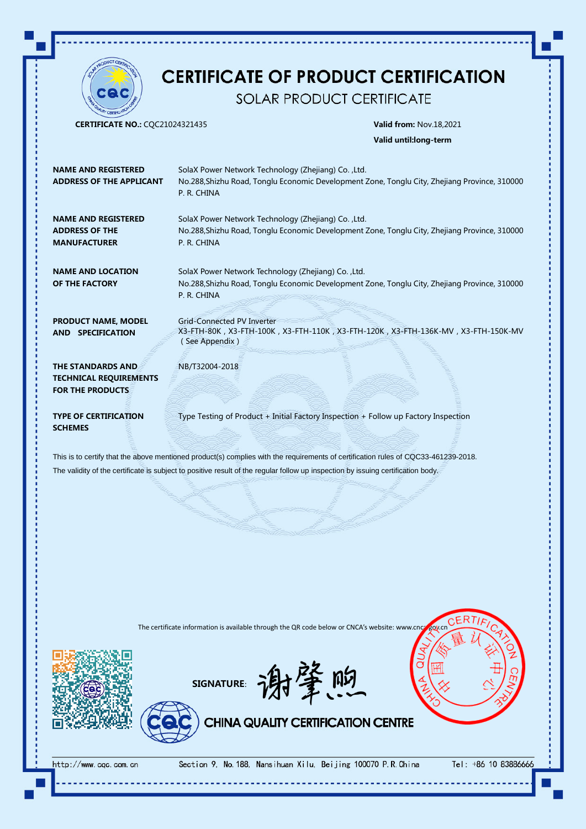

# **CERTIFICATE OF PRODUCT CERTIFICATION**

SOLAR PRODUCT CERTIFICATE

CERTIFICATE NO.: CQC21024321435 Valid from: Nov.18,2021

Valid until:long-term

| <b>NAME AND REGISTERED</b><br><b>ADDRESS OF THE APPLICANT</b>                                                                      | SolaX Power Network Technology (Zhejiang) Co., Ltd.<br>No.288, Shizhu Road, Tonglu Economic Development Zone, Tonglu City, Zhejiang Province, 310000<br>P. R. CHINA |
|------------------------------------------------------------------------------------------------------------------------------------|---------------------------------------------------------------------------------------------------------------------------------------------------------------------|
| <b>NAME AND REGISTERED</b><br><b>ADDRESS OF THE</b><br><b>MANUFACTURER</b>                                                         | SolaX Power Network Technology (Zhejiang) Co., Ltd.<br>No.288, Shizhu Road, Tonglu Economic Development Zone, Tonglu City, Zhejiang Province, 310000<br>P. R. CHINA |
| <b>NAME AND LOCATION</b><br>OF THE FACTORY                                                                                         | SolaX Power Network Technology (Zhejiang) Co., Ltd.<br>No.288, Shizhu Road, Tonglu Economic Development Zone, Tonglu City, Zhejiang Province, 310000<br>P. R. CHINA |
| <b>PRODUCT NAME, MODEL</b><br>AND SPECIFICATION                                                                                    | <b>Grid-Connected PV Inverter</b><br>X3-FTH-80K, X3-FTH-100K, X3-FTH-110K, X3-FTH-120K, X3-FTH-136K-MV, X3-FTH-150K-MV<br>(See Appendix)                            |
| THE STANDARDS AND<br><b>TECHNICAL REQUIREMENTS</b><br><b>FOR THE PRODUCTS</b>                                                      | NB/T32004-2018                                                                                                                                                      |
| <b>TYPE OF CERTIFICATION</b><br><b>SCHEMES</b>                                                                                     | Type Testing of Product + Initial Factory Inspection + Follow up Factory Inspection                                                                                 |
| This is to certify that the above mentioned product(s) complies with the requirements of certification rules of CQC33-461239-2018. |                                                                                                                                                                     |
| The validity of the certificate is subject to positive result of the regular follow up inspection by issuing certification body.   |                                                                                                                                                                     |

The certificate information is available through the QR code below or CNCA's website: www.cnc







Section 9, No. 188, Nansihuan Xilu, Beijing 100070 P.R. China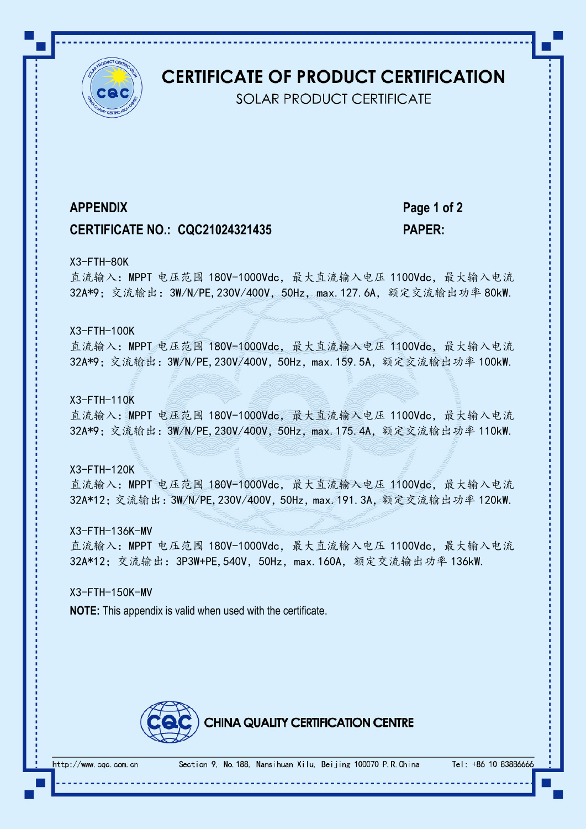

## **CERTIFICATE OF PRODUCT CERTIFICATION**

**SOLAR PRODUCT CERTIFICATE** 

### **CERTIFICATE NO.: CQC21024321435 PAPER:**

**APPENDIX Page 1 of 2**

#### X3-FTH-80K

直流输入: MPPT 电压范围 180V-1000Vdc, 最大直流输入电压 1100Vdc, 最大输入电流 32A\*9; 交流输出: 3W/N/PE, 230V/400V, 50Hz, max. 127. 6A, 额定交流输出功率 80kW.

### X3-FTH-100K

直流输入: MPPT 电压范围 180V-1000Vdc, 最大直流输入电压 1100Vdc, 最大输入电流 32A\*9; 交流输出: 3W/N/PE, 230V/400V, 50Hz, max. 159. 5A, 额定交流输出功率 100kW.

#### X3-FTH-110K

直流输入: MPPT 电压范围 180V-1000Vdc, 最大直流输入电压 1100Vdc, 最大输入电流 32A\*9;交流输出:3W/N/PE,230V/400V,50Hz,max.175.4A,额定交流输出功率 110kW.

#### X3-FTH-120K

直流输入: MPPT 电压范围 180V-1000Vdc, 最大直流输入电压 1100Vdc, 最大输入电流 32A\*12;交流输出:3W/N/PE,230V/400V,50Hz,max.191.3A,额定交流输出功率 120kW.

#### X3-FTH-136K-MV

直流输入: MPPT 电压范围 180V-1000Vdc, 最大直流输入电压 1100Vdc, 最大输入电流 32A\*12; 交流输出: 3P3W+PE, 540V, 50Hz, max. 160A, 额定交流输出功率 136kW.

### X3-FTH-150K-MV

**NOTE:** This appendix is valid when used with the certificate.